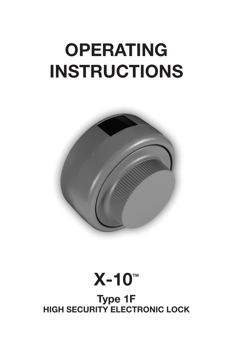# **OPERATING INSTRUCTIONS**





**Type 1F HIGH SECURITY ELECTRONIC LOCK**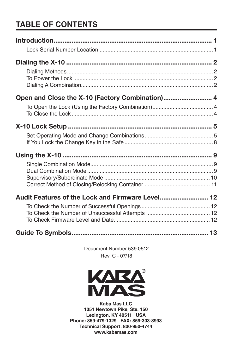# **TABLE OF CONTENTS**

| Audit Features of the Lock and Firmware Level 12 |  |
|--------------------------------------------------|--|
|                                                  |  |
|                                                  |  |

Document Number 539.0512 Rev. C - 07/18



Kaba Mas LLC 1051 Newtown Pike, Ste. 150 Lexington, KY 40511 USA Phone: 859-479-1329 FAX: 859-303-8993 Technical Support: 800-950-4744 www.kabamas.com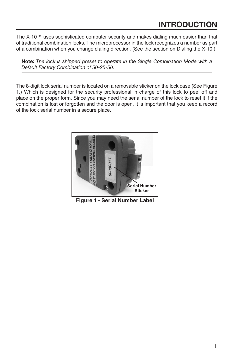## **INTRODUCTION**

The X-10™ uses sophisticated computer security and makes dialing much easier than that of traditional combination locks. The microprocessor in the lock recognizes a number as part of a combination when you change dialing direction. (See the section on Dialing the X-10.)

**Note:** *The lock is shipped preset to operate in the Single Combination Mode with a Default Factory Combination of 50-25-50.* 

The 8-digit lock serial number is located on a removable sticker on the lock case (See Figure 1.) Which is designed for the security professional in charge of this lock to peel off and place on the proper form. Since you may need the serial number of the lock to reset it if the combination is lost or forgotten and the door is open, it is important that you keep a record of the lock serial number in a secure place.



**Figure 1 - Serial Number Label**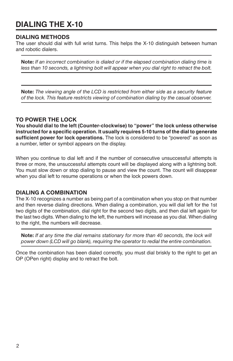## **DIALING THE X-10**

#### **DIALING METHODS**

The user should dial with full wrist turns. This helps the X-10 distinguish between human and robotic dialers.

**Note:** *If an incorrect combination is dialed or if the elapsed combination dialing time is*  less than 10 seconds, a lightning bolt will appear when you dial right to retract the bolt.

**Note:** *The viewing angle of the LCD is restricted from either side as a security feature of the lock. This feature restricts viewing of combination dialing by the casual observer.* 

#### **TO POWER THE LOCK**

**You should dial to the left (Counter-clockwise) to "power" the lock unless otherwise instructed for a specific operation. It usually requires 5-10 turns of the dial to generate sufficient power for lock operations.** The lock is considered to be "powered" as soon as a number, letter or symbol appears on the display.

When you continue to dial left and if the number of consecutive unsuccessful attempts is three or more, the unsuccessful attempts count will be displayed along with a lightning bolt. You must slow down or stop dialing to pause and view the count. The count will disappear when you dial left to resume operations or when the lock powers down.

#### **DIALING A COMBINATION**

The X-10 recognizes a number as being part of a combination when you stop on that number and then reverse dialing directions. When dialing a combination, you will dial left for the 1st two digits of the combination, dial right for the second two digits, and then dial left again for the last two digits. When dialing to the left, the numbers will increase as you dial. When dialing to the right, the numbers will decrease.

**Note:** *If at any time the dial remains stationary for more than 40 seconds, the lock will power down (LCD will go blank), requiring the operator to redial the entire combination.*

Once the combination has been dialed correctly, you must dial briskly to the right to get an OP (OPen right) display and to retract the bolt.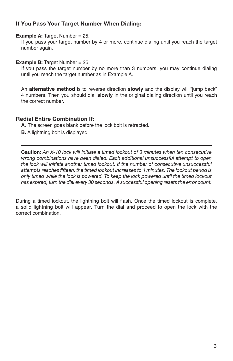#### **If You Pass Your Target Number When Dialing:**

**Example A: Target Number = 25.** 

If you pass your target number by 4 or more, continue dialing until you reach the target number again.

**Example B:** Target Number = 25.

If you pass the target number by no more than 3 numbers, you may continue dialing until you reach the target number as in Example A.

An **alternative method** is to reverse direction **slowly** and the display will "jump back" 4 numbers. Then you should dial **slowly** in the original dialing direction until you reach the correct number.

#### **Redial Entire Combination If:**

**A.** The screen goes blank before the lock bolt is retracted.

**B.** A lightning bolt is displayed.

**Caution:** *An X-10 lock will initiate a timed lockout of 3 minutes when ten consecutive wrong combinations have been dialed. Each additional unsuccessful attempt to open the lock will initiate another timed lockout. If the number of consecutive unsuccessful attempts reaches fifteen, the timed lockout increases to 4 minutes. The lockout period is only timed while the lock is powered. To keep the lock powered until the timed lockout has expired, turn the dial every 30 seconds. A successful opening resets the error count.* 

During a timed lockout, the lightning bolt will flash. Once the timed lockout is complete, a solid lightning bolt will appear. Turn the dial and proceed to open the lock with the correct combination.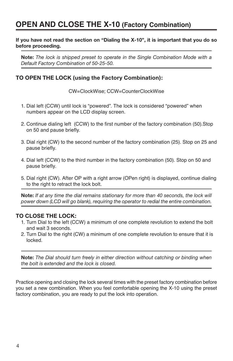## **OPEN AND CLOSE THE X-10 (Factory Combination)**

#### **If you have not read the section on "Dialing the X-10", it is important that you do so before proceeding.**

**Note:** *The lock is shipped preset to operate in the Single Combination Mode with a Default Factory Combination of 50-25-50.* 

#### **TO OPEN THE LOCK (using the Factory Combination):**

CW=ClockWise; CCW=CounterClockWise

- 1. Dial left (CCW) until lock is "powered". The lock is considered "powered" when numbers appear on the LCD display screen.
- 2. Continue dialing left (CCW) to the first number of the factory combination (50).Stop on 50 and pause briefly.
- 3. Dial right (CW) to the second number of the factory combination (25). Stop on 25 and pause briefly.
- 4. Dial left (CCW) to the third number in the factory combination (50). Stop on 50 and pause briefly.
- 5. Dial right (CW). After OP with a right arrow (OPen right) is displayed, continue dialing to the right to retract the lock bolt.

**Note:** *If at any time the dial remains stationary for more than 40 seconds, the lock will power down (LCD will go blank), requiring the operator to redial the entire combination.*

#### **TO CLOSE THE LOCK:**

- 1. Turn Dial to the left (CCW) a minimum of one complete revolution to extend the bolt and wait 3 seconds.
- 2. Turn Dial to the right (CW) a minimum of one complete revolution to ensure that it is locked.

**Note:** *The Dial should turn freely in either direction without catching or binding when the bolt is extended and the lock is closed.* 

Practice opening and closing the lock several times with the preset factory combination before you set a new combination. When you feel comfortable opening the X-10 using the preset factory combination, you are ready to put the lock into operation.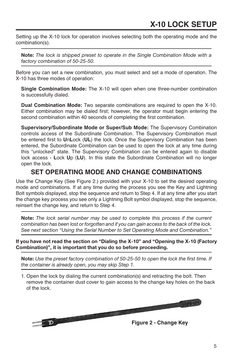Setting up the X-10 lock for operation involves selecting both the operating mode and the combination(s).

**Note:** *The lock is shipped preset to operate in the Single Combination Mode with a factory combination of 50-25-50.* 

Before you can set a new combination, you must select and set a mode of operation. The X-10 has three modes of operation:

**Single Combination Mode:** The X-10 will open when one three-number combination is successfully dialed.

**Dual Combination Mode:** Two separate combinations are required to open the X-10. Either combination may be dialed first; however, the operator must begin entering the second combination within 40 seconds of completing the first combination.

**Supervisory/Subordinate Mode or Super/Sub Mode:** The Supervisory Combination controls access of the Subordinate Combination. The Supervisory Combination must be entered first to **U**n**L**ock (**UL**) the lock. Once the Supervisory Combination has been entered, the Subordinate Combination can be used to open the lock at any time during this "unlocked" state. The Supervisory Combination can be entered again to disable lock access - **L**ock **U**p (**LU**). In this state the Subordinate Combination will no longer open the lock.

#### **SET OPERATING MODE AND CHANGE COMBINATIONS**

Use the Change Key (See Figure 2.) provided with your X-10 to set the desired operating mode and combinations. If at any time during the process you see the Key and Lightning Bolt symbols displayed, stop the sequence and return to Step 4. If at any time after you start the change key process you see only a Lightning Bolt symbol displayed, stop the sequence, reinsert the change key, and return to Step 4.

**Note:** *The lock serial number may be used to complete this process if the current combination has been lost or forgotten and if you can gain access to the back of the lock. See next section "Using the Serial Number to Set Operating Mode and Combination."* 

**If you have not read the section on "Dialing the X-10" and "Opening the X-10 (Factory Combination)", it is important that you do so before proceeding.**

**Note:** *Use the preset factory combination of 50-25-50 to open the lock the first time. If the container is already open, you may skip Step 1.* 

1. Open the lock by dialing the current combination(s) and retracting the bolt. Then remove the container dust cover to gain access to the change key holes on the back of the lock.

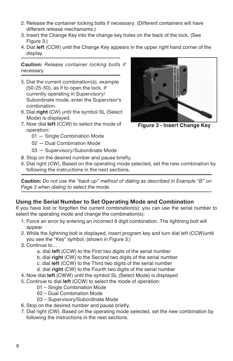- 2. Release the container locking bolts if necessary. (Different containers will have different release mechanisms.)
- 3. Insert the Change Key into the change key holes on the back of the lock. (See Figure 3.)
- 4. Dial **left** (CCW) until the Change Key appears in the upper right hand corner of the display.

**Caution:** *Release container locking bolts if necessary.* 

- 5. Dial the current combination(s), example (50-25-50), as if to open the lock. If currently operating in Supervisory/ Subordinate mode, enter the Supervisor's combination.
- 6. Dial **right** (CW) until the symbol SL (Select Mode) is displayed.
- 7. Now dial **left** (CCW) to select the mode of operation:
	- 01 Single Combination Mode
	- 02 Dual Combination Mode
	- 03 Supervisory/Subordinate Mode
- 8. Stop on the desired number and pause briefly.
- 9. Dial right (CW). Based on the operating mode selected, set the new combination by following the instructions in the next sections.

**Caution:** *Do not use the "back up" method of dialing as described in Example "B" on Page 3 when dialing to select the mode.*

#### **Using the Serial Number to Set Operating Mode and Combination**

If you have lost or forgotten the current combination(s); you can use the serial number to select the operating mode and change the combination(s):

- 1. Force an error by entering an incorrect 6 digit combination. The lightning bolt will appear
- 2. While the lightning bolt is displayed, insert program key and turn dial left (CCW)until you see the "Key" symbol. (shown in Figure 3.)
- 3. Continue to…
	- a. dial **left** (CCW) to the First two digits of the serial number
	- b. dial **right** (CW) to the Second two digits of the serial number
	- c. dial **left** (CCW) to the Third two digits of the serial number
	- d. dial **right** (CW) to the Fourth two digits of the serial number
- 4. Now dial **left** (CWW) until the symbol SL (Select Mode) is displayed
- 5. Continue to dial **left** (CCW) to select the mode of operation:
	- 01 Single Combination Mode
	- 02 Dual Combination Mode
	- 03 Supervisory/Subordinate Mode
- 6. Stop on the desired number and pause briefly.
- 7. Dial right (CW). Based on the operating mode selected, set the new combination by following the instructions in the next sections.



**Figure 3 - Insert Change Key**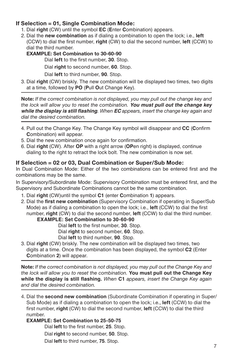#### **If Selection = 01, Single Combination Mode:**

- 1. Dial **right** (CW) until the symbol **EC** (**E**nter **C**ombination) appears.
- 2. Dial the **new combination** as if dialing a combination to open the lock; i.e., **left** (CCW) to dial the first number, **right** (CW) to dial the second number, **left** (CCW) to dial the third number.

#### **EXAMPLE: Set Combination to 30-60-90**

Dial **left** to the first number, **30**. Stop.

Dial **right** to second number, **60**. Stop.

Dial **left** to third number, **90**. Stop.

3. Dial **right** (CW) briskly. The new combination will be displayed two times, two digits at a time, followed by **PO** (**P**ull **O**ut Change Key).

**Note:** *If the correct combination is not displayed, you may pull out the change key and the lock will allow you to reset the combination. You must pull out the change key while the display is still flashing. When EC appears, insert the change key again and dial the desired combination.*

- 4. Pull out the Change Key. The Change Key symbol will disappear and **CC** (**C**onfirm **C**ombination) will appear.
- 5. Dial the new combination once again for confirmation.
- 6. Dial **right** (CW). After **OP** with a right arrow (**OP**en right) is displayed, continue dialing to the right to retract the lock bolt. The new combination is now set.

#### **If Selection = 02 or 03, Dual Combination or Super/Sub Mode:**

In Dual Combination Mode: Either of the two combinations can be entered first and the combinations may be the same.

In Supervisory/Subordinate Mode: Supervisory Combination must be entered first, and the Supervisory and Subordinate Combinations cannot be the same combination.

- 1. Dial **right** (CW)until the symbol **C1** (enter **C**ombination **1**) appears.
- 2. Dial the **first new combination** (Supervisory Combination if operating in Super/Sub Mode) as if dialing a combination to open the lock; i.e., **left** (CCW) to dial the first number, **right** (CW) to dial the second number, **left** (CCW) to dial the third number.

**EXAMPLE: Set Combination to 30-60-90**

Dial **left** to the first number, **30**. Stop.

Dial **right** to second number, **60**. Stop.

Dial **left** to third number, **90**. Stop.

3. Dial **right** (CW) briskly. The new combination will be displayed two times, two digits at a time. Once the combination has been displayed, the symbol **C2** (Enter **C**ombination **2**) will appear.

**Note:** *If the correct combination is not displayed, you may pull out the Change Key and the lock will allow you to reset the combination.* **You must pull out the Change Key while the display is still flashing.** *When* **C1** *appears, insert the Change Key again and dial the desired combination.*

4. Dial the **second new combination** (Subordinate Combination if operating in Super/ Sub Mode) as if dialing a combination to open the lock; i.e., **left** (CCW) to dial the first number, **right** (CW) to dial the second number, **left** (CCW) to dial the third number.

#### **EXAMPLE: Set Combination to 25-50-75**

Dial **left** to the first number, **25**. Stop.

Dial **right** to second number, **50**. Stop.

Dial **left** to third number, **75**. Stop.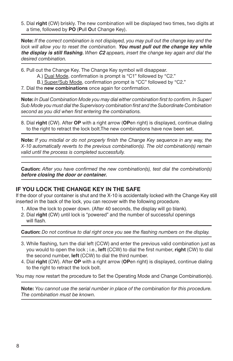5. Dial **right** (CW) briskly. The new combination will be displayed two times, two digits at a time, followed by **PO** (**P**ull **O**ut Change Key).

**Note:** *If the correct combination is not displayed, you may pull out the change key and the lock will allow you to reset the combination. You must pull out the change key while the display is still flashing. When C2 appears, insert the change key again and dial the desired combination.*

- 6. Pull out the Change Key. The Change Key symbol will disappear.
	- A.) Dual Mode, confirmation is prompt is "C1" followed by "C2."
	- B.) Super/Sub Mode, confirmation prompt is "CC" followed by "C2."
- 7. Dial the **new combinations** once again for confirmation.

**Note:** *In Dual Combination Mode you may dial either combination first to confirm. In Super/ Sub Mode you must dial the Supervisory combination first and the Subordinate Combination second as you did when first entering the combinations.*

8. Dial **right** (CW). After **OP** with a right arrow (**OP**en right) is displayed, continue dialing to the right to retract the lock bolt.The new combinations have now been set.

**Note:** *If you misdial or do not properly finish the Change Key sequence in any way, the X-10 automatically reverts to the previous combination(s). The old combination(s) remain valid until the process is completed successfully.*

**Caution:** *After you have confirmed the new combination(s), test dial the combination(s) before closing the door or container.*

#### **IF YOU LOCK THE CHANGE KEY IN THE SAFE**

If the door of your container is shut and the X-10 is accidentally locked with the Change Key still inserted in the back of the lock, you can recover with the following procedure.

- 1. Allow the lock to power down. (After 40 seconds, the display will go blank).
- 2. Dial **right** (CW) until lock is "powered" and the number of successful openings will flash.

**Caution:** *Do not continue to dial right once you see the flashing numbers on the display.*

- 3. While flashing, turn the dial left (CCW) and enter the previous valid combination just as you would to open the lock ; i.e., **left** (CCW) to dial the first number, **right** (CW) to dial the second number, **left** (CCW) to dial the third number.
- 4. Dial **right** (CW). After **OP** with a right arrow (**OP**en right) is displayed, continue dialing to the right to retract the lock bolt.

You may now restart the procedure to Set the Operating Mode and Change Combination(s).

**Note:** *You cannot use the serial number in place of the combination for this procedure. The combination must be known.*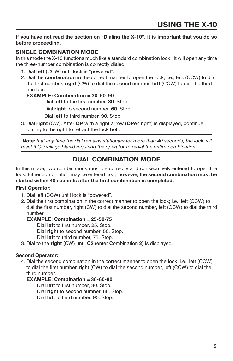#### **If you have not read the section on "Dialing the X-10", it is important that you do so before proceeding.**

#### **SINGLE COMBINATION MODE**

In this mode the X-10 functions much like a standard combination lock. It will open any time the three-number combination is correctly dialed.

- 1. Dial **left** (CCW) until lock is "powered".
- 2. Dial the **combination** in the correct manner to open the lock; i.e., **left** (CCW) to dial the first number, **right** (CW) to dial the second number, **left** (CCW) to dial the third number.

#### **EXAMPLE: Combination = 30-60-90**

Dial **left** to the first number, **30**. Stop.

Dial **right** to second number, **60**. Stop.

Dial **left** to third number, **90**. Stop.

3. Dial **right** (CW). After **OP** with a right arrow (**OP**en right) is displayed, continue dialing to the right to retract the lock bolt.

 **Note:** *If at any time the dial remains stationary for more than 40 seconds, the lock will reset (LCD will go blank) requiring the operator to redial the entire combination.*

## **DUAL COMBINATION MODE**

In this mode, two combinations must be correctly and consecutively entered to open the lock. Either combination may be entered first; however, **the second combination must be started within 40 seconds after the first combination is completed.**

#### **First Operator:**

- 1. Dial left (CCW) until lock is "powered".
- 2. Dial the first combination in the correct manner to open the lock; i.e., left (CCW) to dial the first number, right (CW) to dial the second number, left (CCW) to dial the third number.

#### **EXAMPLE: Combination = 25-50-75**

Dial **left** to first number, 25. Stop.

Dial **right** to second number, 50. Stop.

Dial **left** to third number, 75. Stop.

3. Dial to the **right** (CW) until **C2** (enter **C**ombination **2**) is displayed.

#### **Second Operator:**

4. Dial the second combination in the correct manner to open the lock; i.e., left (CCW) to dial the first number, right (CW) to dial the second number, left (CCW) to dial the third number.

#### **EXAMPLE: Combination = 30-60-90**

Dial **left** to first number, 30. Stop.

Dial **right** to second number, 60. Stop.

Dial **left** to third number, 90. Stop.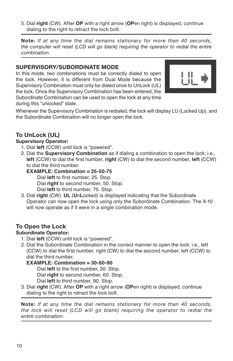5. Dial **right** (CW). After **OP** with a right arrow (**OP**en right) is displayed, continue dialing to the right to retract the lock bolt.

**Note:** *If at any time the dial remains stationary for more than 40 seconds, the computer will reset (LCD will go blank) requiring the operator to redial the entire combination.*

#### **SUPERVISORY/SUBORDINATE MODE**

In this mode, two combinations must be correctly dialed to open the lock. However, it is different from Dual Mode because the Supervisory Combination must only be dialed once to UnLock (UL) the lock. Once the Supervisory Combination has been entered, the Subordinate Combination can be used to open the lock at any time during this "unlocked" state.



Whenever the Supervisory Combination is redialed, the lock will display LU (Locked Up), and the Subordinate Combination will no longer open the lock.

#### **To UnLock (UL)**

#### **Supervisory Operator:**

- 1. Dial **left** (CCW) until lock is "powered".
- 2. Dial the **Supervisory Combination** as if dialing a combination to open the lock; i.e., **left** (CCW) to dial the first number, **right** (CW) to dial the second number, **left** (CCW) to dial the third number.

#### **EXAMPLE: Combination = 25-50-75**

 Dial **left** to first number, 25. Stop. Dial **right** to second number, 50. Stop. Dial **left** to third number, 75. Stop.

3. Dial **right** (CW). **UL** (**U**n**L**ocked) is displayed indicating that the Subordinate Operator can now open the lock using only the Subordinate Combination. The X-10 will now operate as if it were in a single combination mode.

#### **To Open the Lock**

#### **Subordinate Operator:**

- 1. Dial **left** (CCW) until lock is "powered".
- 2. Dial the Subordinate Combination in the correct manner to open the lock; i.e., left (CCW) to dial the first number, right (CW) to dial the second number, left (CCW) to dial the third number.

#### **EXAMPLE: Combination = 30-60-90**

 Dial **left** to the first number, 30. Stop. Dial **right** to second number, 60. Stop.

Dial **left** to third number, 90. Stop.

3. Dial **right** (CW). After **OP** with a right arrow (**OP**en right) is displayed, continue dialing to the right to retract the lock bolt.

**Note:** *If at any time the dial remains stationary for more than 40 seconds, the lock will reset (LCD will go blank) requiring the operator to redial the entire combination.*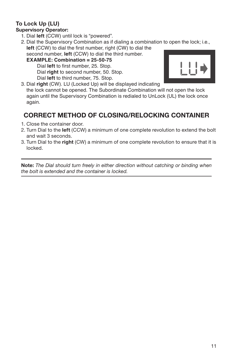# **To Lock Up (LU)**

## **Supervisory Operator:**

- 1. Dial **left** (CCW) until lock is "powered".
- 2. Dial the Supervisory Combination as if dialing a combination to open the lock; i.e., **left** (CCW) to dial the first number, right (CW) to dial the second number, **left** (CCW) to dial the third number.

#### **EXAMPLE: Combination = 25-50-75** Dial **left** to first number, 25. Stop. Dial **right** to second number, 50. Stop.





3. Dial **right** (CW). LU (Locked Up) will be displayed indicating the lock cannot be opened. The Subordinate Combination will not open the lock again until the Supervisory Combination is redialed to UnLock (UL) the lock once again.

## **CORRECT METHOD OF CLOSING/RELOCKING CONTAINER**

- 1. Close the container door.
- 2. Turn Dial to the **left** (CCW) a minimum of one complete revolution to extend the bolt and wait 3 seconds.
- 3. Turn Dial to the **right** (CW) a minimum of one complete revolution to ensure that it is locked.

**Note:** *The Dial should turn freely in either direction without catching or binding when the bolt is extended and the container is locked.*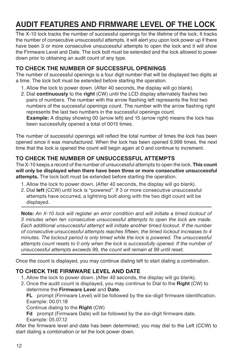# **AUDIT FEATURES AND FIRMWARE LEVEL OF THE LOCK**

The X-10 lock tracks the number of successful openings for the lifetime of the lock; It tracks the number of consecutive unsuccessful attempts, it will alert you upon lock power up if there have been 3 or more consecutive unsuccessful attempts to open the lock and it will show the Firmware Level and Date. The lock bolt must be extended and the lock allowed to power down prior to obtaining an audit count of any type.

#### **TO CHECK THE NUMBER OF SUCCESSFUL OPENINGS**

The number of successful openings is a four digit number that will be displayed two digits at a time. The lock bolt must be extended before starting the operation.

- 1. Allow the lock to power down. (After 40 seconds, the display will go blank).
- 2. Dial **continuously** to the **right** (CW) until the LCD display alternately flashes two pairs of numbers. The number with the arrow flashing left represents the first two numbers of the successful openings count. The number with the arrow flashing right represents the last two numbers in the successful openings count. **Example:** A display showing 00 (arrow left) and 15 (arrow right) means the lock has been successfully opened a total of 0015 times.

The number of successful openings will reflect the total number of times the lock has been opened since it was manufactured. When the lock has been opened 9,999 times, the next time that the lock is opened the count will begin again at 0 and continue to increment.

#### **TO CHECK THE NUMBER OF UNSUCCESSFUL ATTEMPTS**

The X-10 keeps a record of the number of unsuccessful attempts to open the lock. **This count will only be displayed when there have been three or more consecutive unsuccessful attempts.** The lock bolt must be extended before starting the operation.

- 1. Allow the lock to power down. (After 40 seconds, the display will go blank).
- 2. Dial **left** (CCW) until lock is "powered". If 3 or more consecutive unsuccessful attempts have occurred, a lightning bolt along with the two digit count will be displayed.

**Note:** *An X-10 lock will register an error condition and will initiate a timed lockout of 3 minutes when ten consecutive unsuccessful attempts to open the lock are made. Each additional unsuccessful attempt will initiate another timed lockout. If the number of consecutive unsuccessful attempts reaches fifteen, the timed lockout increases to 4 minutes. The lockout period is only timed while the lock is powered. The unsuccessful attempts count resets to 0 only when the lock is successfully opened. If the number of unsuccessful attempts exceeds 99, the count will remain at 99 until reset.*

Once the count is displayed, you may continue dialing left to start dialing a combination.

#### **TO CHECK THE FIRMWARE LEVEL AND DATE**

- 1. Allow the lock to power down. (After 40 seconds, the display will go blank).
- 2. Once the audit count is displayed, you may continue to Dial to the **Right** (CW) to determine the **Firmware Leve**l and **Date**.

**FL** prompt (Firmware Level) will be followed by the six-digit firmware identification. Example: 00.01.18

Continue dialing to the **Right** (CW)

**Fd** prompt (Firmware Date) will be followed by the six-digit firmware date. Example: 05.07.12

After the firmware level and date has been determined; you may dial to the Left (CCW) to start dialing a combination or let the lock power down.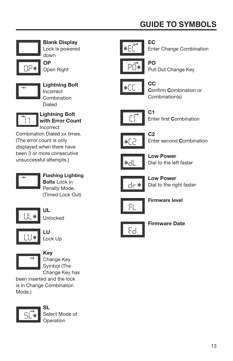# **GUIDE TO SYMBOLS**



*OP*

**Blank Display** Lock is powered down

**OP** Open Right



**Lightning Bolt** Incorrect Combination Dialed



**Lightning Bolt with Error Count** Incorrect

Combination Dialed xx times. (The error count is only displayed when there have been 3 or more consecutive unsuccessful attempts.)



**Flashing Lighting Bolts** Lock in Penalty Mode. (Timed Lock Out)



**UL** Unlocked





### **Key**

Change Key Symbol (The Change Key has

been inserted and the lock is in Change Combination Mode.)



**SL** Select Mode of **Operation** 







**PO** Pull Out Change Key



**CC C**onfirm **C**ombination or Combination(s)



**C1**

Enter first **C**ombination



**C2** Enter second **C**ombination



**Low Power** Dial to the left faster



**Low Power** Dial to the right faster



**Firmware level**



**Firmware Date**